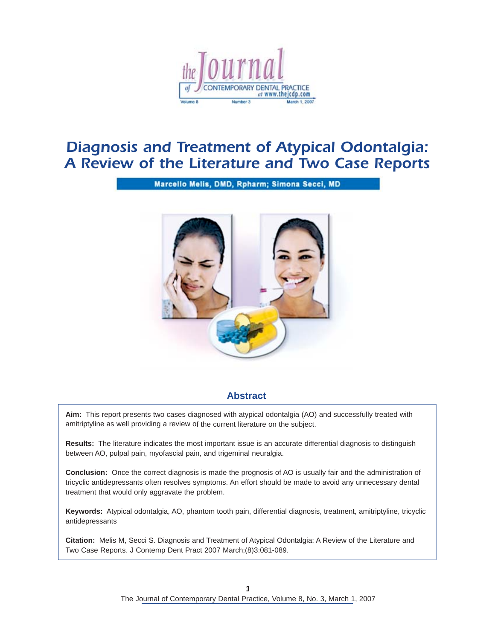

# *Diagnosis and Treatment of Atypical Odontalgia: A Review of the Literature and Two Case Reports*

Marcello Melis, DMD, Rpharm; Simona Secci, MD



# **Abstract**

**Aim:** This report presents two cases diagnosed with atypical odontalgia (AO) and successfully treated with amitriptyline as well providing a review of the current literature on the subject.

**Results:** The literature indicates the most important issue is an accurate differential diagnosis to distinguish between AO, pulpal pain, myofascial pain, and trigeminal neuralgia.

**Conclusion:** Once the correct diagnosis is made the prognosis of AO is usually fair and the administration of tricyclic antidepressants often resolves symptoms. An effort should be made to avoid any unnecessary dental treatment that would only aggravate the problem.

**Keywords:** Atypical odontalgia, AO, phantom tooth pain, differential diagnosis, treatment, amitriptyline, tricyclic antidepressants

**Citation:** Melis M, Secci S. Diagnosis and Treatment of Atypical Odontalgia: A Review of the Literature and Two Case Reports. J Contemp Dent Pract 2007 March;(8)3:081-089.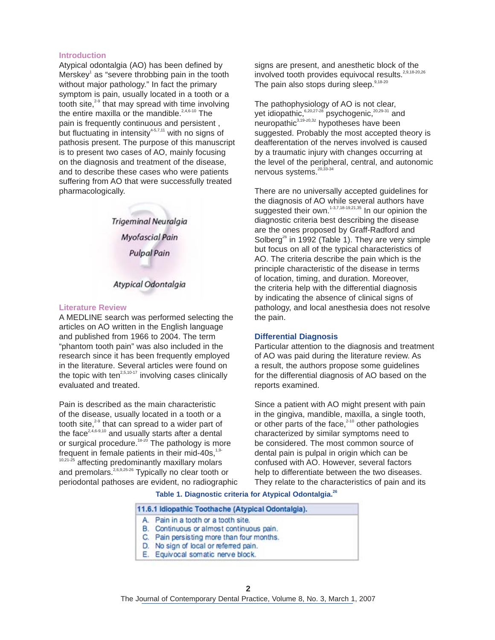#### **Introduction**

Atypical odontalgia (AO) has been defined by Merskey<sup>1</sup> as "severe throbbing pain in the tooth without major pathology." In fact the primary symptom is pain, usually located in a tooth or a tooth site,<sup>29</sup> that may spread with time involving the entire maxilla or the mandible.<sup>2,4,6-10</sup> The pain is frequently continuous and persistent , but fluctuating in intensity $4-5,7,11$  with no signs of pathosis present. The purpose of this manuscript is to present two cases of AO, mainly focusing on the diagnosis and treatment of the disease, and to describe these cases who were patients suffering from AO that were successfully treated pharmacologically.

> Trigeminal Neuralgia **Myofascial Pain Pulpal Pain**

# Atypical Odontalgia

#### **Literature Review**

A MEDLINE search was performed selecting the articles on AO written in the English language and published from 1966 to 2004. The term "phantom tooth pain" was also included in the research since it has been frequently employed in the literature. Several articles were found on the topic with ten $2,5,10-17$  involving cases clinically evaluated and treated.

Pain is described as the main characteristic of the disease, usually located in a tooth or a tooth site,<sup>29</sup> that can spread to a wider part of the face<sup>2,4,6-9,10</sup> and usually starts after a dental or surgical procedure.<sup>18-20</sup> The pathology is more frequent in female patients in their mid-40s,<sup>1,9-</sup> <sup>10,21-25</sup> affecting predominantly maxillary molars and premolars.<sup>2,6,9,25-26</sup> Typically no clear tooth or periodontal pathoses are evident, no radiographic signs are present, and anesthetic block of the involved tooth provides equivocal results.<sup>2,9,18-20,26</sup> The pain also stops during sleep.<sup>9,18-20</sup>

The pathophysiology of AO is not clear, yet idiopathic,<sup>6,20,27-28</sup> psychogenic,<sup>20,29-31</sup> and neuropathic<sup>3,19-20,32</sup> hypotheses have been suggested. Probably the most accepted theory is deafferentation of the nerves involved is caused by a traumatic injury with changes occurring at the level of the peripheral, central, and autonomic nervous systems.<sup>20,33-34</sup>

There are no universally accepted guidelines for the diagnosis of AO while several authors have suggested their own.<sup>1-3,7,18-19,21,35</sup> In our opinion the diagnostic criteria best describing the disease are the ones proposed by Graff-Radford and Solberg<sup>26</sup> in 1992 (Table 1). They are very simple but focus on all of the typical characteristics of AO. The criteria describe the pain which is the principle characteristic of the disease in terms of location, timing, and duration. Moreover, the criteria help with the differential diagnosis by indicating the absence of clinical signs of pathology, and local anesthesia does not resolve the pain.

#### **Differential Diagnosis**

Particular attention to the diagnosis and treatment of AO was paid during the literature review. As a result, the authors propose some guidelines for the differential diagnosis of AO based on the reports examined.

Since a patient with AO might present with pain in the gingiva, mandible, maxilla, a single tooth, or other parts of the face,<sup>2-10</sup> other pathologies characterized by similar symptoms need to be considered. The most common source of dental pain is pulpal in origin which can be confused with AO. However, several factors help to differentiate between the two diseases. They relate to the characteristics of pain and its

**Table 1. Diagnostic criteria for Atypical Odontalgia.26**

| 11.6.1 Idiopathic Toothache (Atypical Odontalgia). |                                           |  |
|----------------------------------------------------|-------------------------------------------|--|
|                                                    | A. Pain in a tooth or a tooth site.       |  |
|                                                    | B. Continuous or almost continuous pain.  |  |
|                                                    | C. Pain persisting more than four months. |  |
|                                                    | D. No sign of local or referred pain.     |  |
|                                                    | E. Equivocal somatic nerve block.         |  |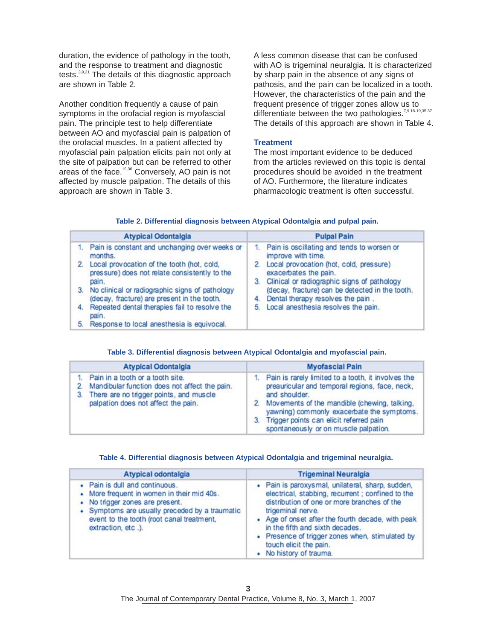duration, the evidence of pathology in the tooth, and the response to treatment and diagnostic tests.<sup>3,9,21</sup> The details of this diagnostic approach are shown in Table 2.

Another condition frequently a cause of pain symptoms in the orofacial region is myofascial pain. The principle test to help differentiate between AO and myofascial pain is palpation of the orofacial muscles. In a patient affected by myofascial pain palpation elicits pain not only at the site of palpation but can be referred to other areas of the face.<sup>19,36</sup> Conversely, AO pain is not affected by muscle palpation. The details of this approach are shown in Table 3.

A less common disease that can be confused with AO is trigeminal neuralgia. It is characterized by sharp pain in the absence of any signs of pathosis, and the pain can be localized in a tooth. However, the characteristics of the pain and the frequent presence of trigger zones allow us to differentiate between the two pathologies.<sup>7,9,18-19,35,37</sup> The details of this approach are shown in Table 4.

## **Treatment**

The most important evidence to be deduced from the articles reviewed on this topic is dental procedures should be avoided in the treatment of AO. Furthermore, the literature indicates pharmacologic treatment is often successful.

| Table 2. Differential diagnosis between Atypical Odontalgia and pulpal pain. |  |  |  |  |  |
|------------------------------------------------------------------------------|--|--|--|--|--|
|------------------------------------------------------------------------------|--|--|--|--|--|

| <b>Atypical Odontalgia</b> |                                                                                                      | <b>Pulpal Pain</b>                                                                                                    |  |
|----------------------------|------------------------------------------------------------------------------------------------------|-----------------------------------------------------------------------------------------------------------------------|--|
|                            | Pain is constant and unchanging over weeks or<br>months.                                             | 1. Pain is oscillating and tends to worsen or<br>improve with time.                                                   |  |
| 2.                         | Local provocation of the tooth (hot, cold,<br>pressure) does not relate consistently to the<br>pain. | 2. Local provocation (hot, cold, pressure)<br>exacerbates the pain.<br>3. Clinical or radiographic signs of pathology |  |
| 3.                         | No clinical or radiographic signs of pathology<br>(decay, fracture) are present in the tooth.        | (decay, fracture) can be detected in the tooth.<br>Dental therapy resolves the pain.<br>4.                            |  |
| 4.                         | Repeated dental therapies fail to resolve the<br>pain.                                               | 5. Local anesthesia resolves the pain.                                                                                |  |
| 5.                         | Response to local anesthesia is equivocal.                                                           |                                                                                                                       |  |

#### **Table 3. Differential diagnosis between Atypical Odontalgia and myofascial pain.**

| <b>Atypical Odontalgia</b> |                                                                                                                                                                     | <b>Myofascial Pain</b>                                                                                                                                                                                                                                                                                           |  |  |
|----------------------------|---------------------------------------------------------------------------------------------------------------------------------------------------------------------|------------------------------------------------------------------------------------------------------------------------------------------------------------------------------------------------------------------------------------------------------------------------------------------------------------------|--|--|
|                            | Pain in a tooth or a tooth site.<br>Mandibular function does not affect the pain.<br>There are no trigger points, and muscle<br>palpation does not affect the pain. | 1. Pain is rarely limited to a tooth, it involves the<br>preauricular and temporal regions, face, neck,<br>and shoulder.<br>2. Movements of the mandible (chewing, talking,<br>yawning) commonly exacerbate the symptoms.<br>3. Trigger points can elicit referred pain<br>spontaneously or on muscle palpation. |  |  |

## **Table 4. Differential diagnosis between Atypical Odontalgia and trigeminal neuralgia.**

| Atypical odontalgia                                                                                                                                                                                                              | <b>Trigeminal Neuralgia</b>                                                                                                                                                                                                                                                                                                                                               |
|----------------------------------------------------------------------------------------------------------------------------------------------------------------------------------------------------------------------------------|---------------------------------------------------------------------------------------------------------------------------------------------------------------------------------------------------------------------------------------------------------------------------------------------------------------------------------------------------------------------------|
| • Pain is dull and continuous.<br>More frequent in women in their mid 40s.<br>No trigger zones are present.<br>• Symptoms are usually preceded by a traumatic<br>event to the tooth (root canal treatment,<br>extraction, etc.). | · Pain is paroxysmal, unilateral, sharp, sudden,<br>electrical, stabbing, recurrent ; confined to the<br>distribution of one or more branches of the<br>trigeminal nerve.<br>• Age of onset after the fourth decade, with peak<br>in the fifth and sixth decades.<br>• Presence of trigger zones when, stimulated by<br>touch elicit the pain.<br>• No history of trauma. |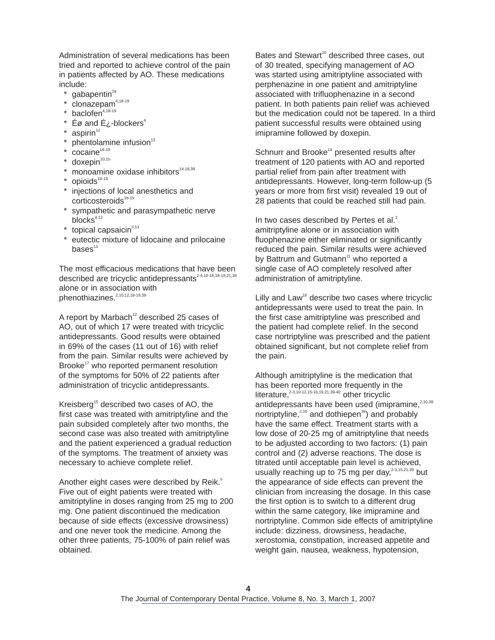Administration of several medications has been tried and reported to achieve control of the pain in patients affected by AO. These medications include:

- gabapentin<sup>18</sup>
- $clonazepam<sup>4,18-19</sup>$
- baclofen<sup>4,18-19</sup>
- $\acute{\mathsf{E}}$ ø and  $\acute{\mathsf{E}}$  *i*-blockers<sup>4</sup>
- $aspirin<sup>12</sup>$
- phentolamine infusion<sup>13</sup>
- $*$  cocaine<sup>18-19</sup>
- $*$  doxepin<sup>10,15</sup>
- \* monoamine oxidase inhibitors 14,19,38
- \* opioids<sup>18-19</sup>
- injections of local anesthetics and  $corticosteroids^{18-19}$
- sympathetic and parasympathetic nerve  $b$ locks $4,12$
- topical capsaicin<sup>3,13</sup>
- eutectic mixture of lidocaine and prilocaine  $base<sup>13</sup>$

The most efficacious medications that have been described are tricyclic antidepressants2-4,10-16,18-19,21,39 alone or in association with phenothiazines.<sup>2,10,12,18-19,39</sup>

A report by Marbach<sup>12</sup> described 25 cases of AO, out of which 17 were treated with tricyclic antidepressants. Good results were obtained in 69% of the cases (11 out of 16) with relief from the pain. Similar results were achieved by Brooke<sup>17</sup> who reported permanent resolution of the symptoms for 50% of 22 patients after administration of tricyclic antidepressants.

Kreisberg<sup>15</sup> described two cases of AO, the first case was treated with amitriptyline and the pain subsided completely after two months, the second case was also treated with amitriptyline and the patient experienced a gradual reduction of the symptoms. The treatment of anxiety was necessary to achieve complete relief.

Another eight cases were described by Reik.<sup>5</sup> Five out of eight patients were treated with amitriptyline in doses ranging from 25 mg to 200 mg. One patient discontinued the medication because of side effects (excessive drowsiness) and one never took the medicine. Among the other three patients, 75-100% of pain relief was obtained.

Bates and Stewart 10 described three cases, out of 30 treated, specifying management of AO was started using amitriptyline associated with perphenazine in one patient and amitriptyline associated with trifluophenazine in a second patient. In both patients pain relief was achieved but the medication could not be tapered. In a third patient successful results were obtained using imipramine followed by doxepin.

Schnurr and Brooke<sup>14</sup> presented results after treatment of 120 patients with AO and reported partial relief from pain after treatment with antidepressants. However, long-term follow-up (5 years or more from first visit) revealed 19 out of 28 patients that could be reached still had pain.

In two cases described by Pertes et al.<sup>2</sup> amitriptyline alone or in association with fluophenazine either eliminated or significantly reduced the pain. Similar results were achieved by Battrum and Gutmann<sup>11</sup> who reported a single case of AO completely resolved after administration of amitriptyline.

Lilly and Law<sup>16</sup> describe two cases where tricyclic antidepressants were used to treat the pain. In the first case amitriptyline was prescribed and the patient had complete relief. In the second case nortriptyline was prescribed and the patient obtained significant, but not complete relief from the pain.

Although amitriptyline is the medication that has been reported more frequently in the literature, 2-3,10-12,15-16,19,21,39-40 other tricyclic antidepressants have been used (imipramine, 2,10,39 nortriptyline,<sup>2,16</sup> and dothiepen<sup>38</sup>) and probably have the same effect. Treatment starts with a low dose of 20-25 mg of amitriptyline that needs to be adjusted according to two factors: (1) pain control and (2) adverse reactions. The dose is titrated until acceptable pain level is achieved, usually reaching up to 75 mg per day,<sup>2-3,15,21,39</sup> but the appearance of side effects can prevent the clinician from increasing the dosage. In this case the first option is to switch to a different drug within the same category, like imipramine and nortriptyline. Common side effects of amitriptyline include: dizziness, drowsiness, headache, xerostomia, constipation, increased appetite and weight gain, nausea, weakness, hypotension,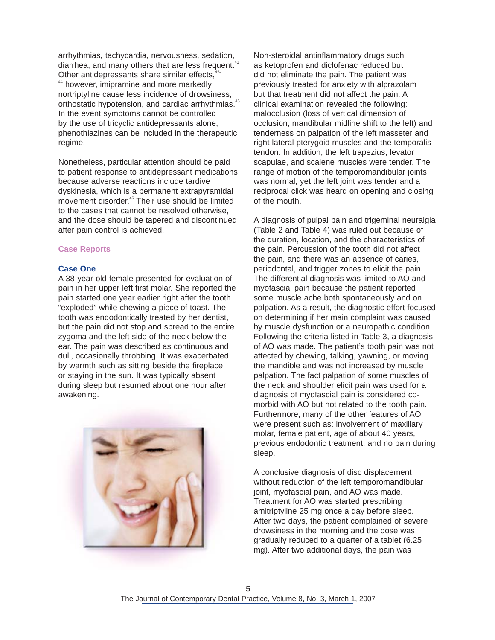arrhythmias, tachycardia, nervousness, sedation, diarrhea, and many others that are less frequent.<sup>41</sup> Other antidepressants share similar effects,<sup>42-</sup> 44 however, imipramine and more markedly nortriptyline cause less incidence of drowsiness, orthostatic hypotension, and cardiac arrhythmias.<sup>45</sup> In the event symptoms cannot be controlled by the use of tricyclic antidepressants alone, phenothiazines can be included in the therapeutic regime.

Nonetheless, particular attention should be paid to patient response to antidepressant medications because adverse reactions include tardive dyskinesia, which is a permanent extrapyramidal movement disorder. 46 Their use should be limited to the cases that cannot be resolved otherwise, and the dose should be tapered and discontinued after pain control is achieved.

## **Case Reports**

#### **Case One**

A 38-year-old female presented for evaluation of pain in her upper left first molar. She reported the pain started one year earlier right after the tooth "exploded" while chewing a piece of toast. The tooth was endodontically treated by her dentist, but the pain did not stop and spread to the entire zygoma and the left side of the neck below the ear. The pain was described as continuous and dull, occasionally throbbing. It was exacerbated by warmth such as sitting beside the fireplace or staying in the sun. It was typically absent during sleep but resumed about one hour after awakening.



Non-steroidal antinflammatory drugs such as ketoprofen and diclofenac reduced but did not eliminate the pain. The patient was previously treated for anxiety with alprazolam but that treatment did not affect the pain. A clinical examination revealed the following: malocclusion (loss of vertical dimension of occlusion; mandibular midline shift to the left) and tenderness on palpation of the left masseter and right lateral pterygoid muscles and the temporalis tendon. In addition, the left trapezius, levator scapulae, and scalene muscles were tender. The range of motion of the temporomandibular joints was normal, yet the left joint was tender and a reciprocal click was heard on opening and closing of the mouth.

A diagnosis of pulpal pain and trigeminal neuralgia (Table 2 and Table 4) was ruled out because of the duration, location, and the characteristics of the pain. Percussion of the tooth did not affect the pain, and there was an absence of caries, periodontal, and trigger zones to elicit the pain. The differential diagnosis was limited to AO and myofascial pain because the patient reported some muscle ache both spontaneously and on palpation. As a result, the diagnostic effort focused on determining if her main complaint was caused by muscle dysfunction or a neuropathic condition. Following the criteria listed in Table 3, a diagnosis of AO was made. The patient's tooth pain was not affected by chewing, talking, yawning, or moving the mandible and was not increased by muscle palpation. The fact palpation of some muscles of the neck and shoulder elicit pain was used for a diagnosis of myofascial pain is considered comorbid with AO but not related to the tooth pain. Furthermore, many of the other features of AO were present such as: involvement of maxillary molar, female patient, age of about 40 years, previous endodontic treatment, and no pain during sleep.

A conclusive diagnosis of disc displacement without reduction of the left temporomandibular joint, myofascial pain, and AO was made. Treatment for AO was started prescribing amitriptyline 25 mg once a day before sleep. After two days, the patient complained of severe drowsiness in the morning and the dose was gradually reduced to a quarter of a tablet (6.25 mg). After two additional days, the pain was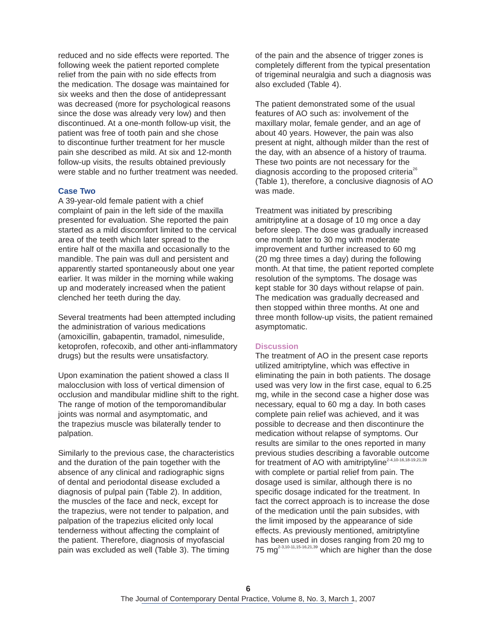reduced and no side effects were reported. The following week the patient reported complete relief from the pain with no side effects from the medication. The dosage was maintained for six weeks and then the dose of antidepressant was decreased (more for psychological reasons since the dose was already very low) and then discontinued. At a one-month follow-up visit, the patient was free of tooth pain and she chose to discontinue further treatment for her muscle pain she described as mild. At six and 12-month follow-up visits, the results obtained previously were stable and no further treatment was needed.

## **Case Two**

A 39-year-old female patient with a chief complaint of pain in the left side of the maxilla presented for evaluation. She reported the pain started as a mild discomfort limited to the cervical area of the teeth which later spread to the entire half of the maxilla and occasionally to the mandible. The pain was dull and persistent and apparently started spontaneously about one year earlier. It was milder in the morning while waking up and moderately increased when the patient clenched her teeth during the day.

Several treatments had been attempted including the administration of various medications (amoxicillin, gabapentin, tramadol, nimesulide, ketoprofen, rofecoxib, and other anti-inflammatory drugs) but the results were unsatisfactory.

Upon examination the patient showed a class II malocclusion with loss of vertical dimension of occlusion and mandibular midline shift to the right. The range of motion of the temporomandibular joints was normal and asymptomatic, and the trapezius muscle was bilaterally tender to palpation.

Similarly to the previous case, the characteristics and the duration of the pain together with the absence of any clinical and radiographic signs of dental and periodontal disease excluded a diagnosis of pulpal pain (Table 2). In addition, the muscles of the face and neck, except for the trapezius, were not tender to palpation, and palpation of the trapezius elicited only local tenderness without affecting the complaint of the patient. Therefore, diagnosis of myofascial pain was excluded as well (Table 3). The timing

of the pain and the absence of trigger zones is completely different from the typical presentation of trigeminal neuralgia and such a diagnosis was also excluded (Table 4).

The patient demonstrated some of the usual features of AO such as: involvement of the maxillary molar, female gender, and an age of about 40 years. However, the pain was also present at night, although milder than the rest of the day, with an absence of a history of trauma. These two points are not necessary for the diagnosis according to the proposed criteria $^{26}$ (Table 1), therefore, a conclusive diagnosis of AO was made.

Treatment was initiated by prescribing amitriptyline at a dosage of 10 mg once a day before sleep. The dose was gradually increased one month later to 30 mg with moderate improvement and further increased to 60 mg (20 mg three times a day) during the following month. At that time, the patient reported complete resolution of the symptoms. The dosage was kept stable for 30 days without relapse of pain. The medication was gradually decreased and then stopped within three months. At one and three month follow-up visits, the patient remained asymptomatic.

# **Discussion**

The treatment of AO in the present case reports utilized amitriptyline, which was effective in eliminating the pain in both patients. The dosage used was very low in the first case, equal to 6.25 mg, while in the second case a higher dose was necessary, equal to 60 mg a day. In both cases complete pain relief was achieved, and it was possible to decrease and then discontinure the medication without relapse of symptoms. Our results are similar to the ones reported in many previous studies describing a favorable outcome for treatment of AO with amitriptyline<sup>2-4,10-16,18-19,21,39</sup> with complete or partial relief from pain. The dosage used is similar, although there is no specific dosage indicated for the treatment. In fact the correct approach is to increase the dose of the medication until the pain subsides, with the limit imposed by the appearance of side effects. As previously mentioned, amitriptyline has been used in doses ranging from 20 mg to 75 mg<sup>2-3,10-11,15-16,21,39</sup> which are higher than the dose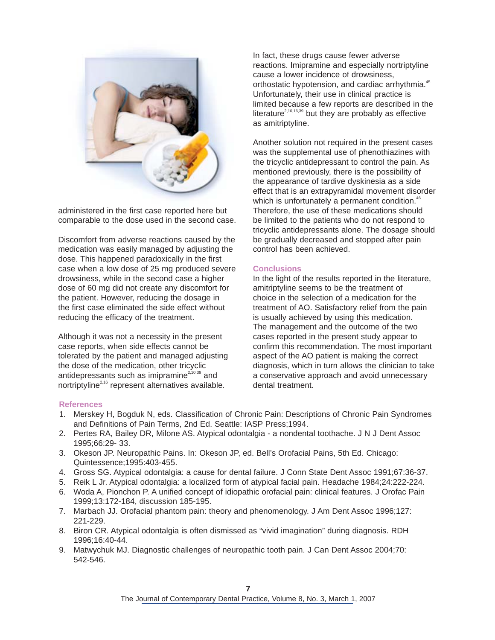

administered in the first case reported here but comparable to the dose used in the second case.

Discomfort from adverse reactions caused by the medication was easily managed by adjusting the dose. This happened paradoxically in the first case when a low dose of 25 mg produced severe drowsiness, while in the second case a higher dose of 60 mg did not create any discomfort for the patient. However, reducing the dosage in the first case eliminated the side effect without reducing the efficacy of the treatment.

Although it was not a necessity in the present case reports, when side effects cannot be tolerated by the patient and managed adjusting the dose of the medication, other tricyclic antidepressants such as imipramine<sup> $2,10,39$ </sup> and nortriptyline<sup>2,16</sup> represent alternatives available.

In fact, these drugs cause fewer adverse reactions. Imipramine and especially nortriptyline cause a lower incidence of drowsiness, orthostatic hypotension, and cardiac arrhythmia.<sup>45</sup> Unfortunately, their use in clinical practice is limited because a few reports are described in the literature<sup>2,10,16,39</sup> but they are probably as effective as amitriptyline.

Another solution not required in the present cases was the supplemental use of phenothiazines with the tricyclic antidepressant to control the pain. As mentioned previously, there is the possibility of the appearance of tardive dyskinesia as a side effect that is an extrapyramidal movement disorder which is unfortunately a permanent condition.<sup>46</sup> Therefore, the use of these medications should be limited to the patients who do not respond to tricyclic antidepressants alone. The dosage should be gradually decreased and stopped after pain control has been achieved.

# **Conclusions**

In the light of the results reported in the literature, amitriptyline seems to be the treatment of choice in the selection of a medication for the treatment of AO. Satisfactory relief from the pain is usually achieved by using this medication. The management and the outcome of the two cases reported in the present study appear to confirm this recommendation. The most important aspect of the AO patient is making the correct diagnosis, which in turn allows the clinician to take a conservative approach and avoid unnecessary dental treatment.

#### **References**

- 1. Merskey H, Bogduk N, eds. Classification of Chronic Pain: Descriptions of Chronic Pain Syndromes and Definitions of Pain Terms, 2nd Ed. Seattle: IASP Press;1994.
- 2. Pertes RA, Bailey DR, Milone AS. Atypical odontalgia a nondental toothache. J N J Dent Assoc 1995;66:29- 33.
- 3. Okeson JP. Neuropathic Pains. In: Okeson JP, ed. Bell's Orofacial Pains, 5th Ed. Chicago: Quintessence;1995:403-455.
- 4. Gross SG. Atypical odontalgia: a cause for dental failure. J Conn State Dent Assoc 1991;67:36-37.
- 5. Reik L Jr. Atypical odontalgia: a localized form of atypical facial pain. Headache 1984;24:222-224.
- 6. Woda A, Pionchon P. A unified concept of idiopathic orofacial pain: clinical features. J Orofac Pain 1999;13:172-184, discussion 185-195.
- 7. Marbach JJ. Orofacial phantom pain: theory and phenomenology. J Am Dent Assoc 1996;127: 221-229.
- 8. Biron CR. Atypical odontalgia is often dismissed as "vivid imagination" during diagnosis. RDH 1996;16:40-44.
- 9. Matwychuk MJ. Diagnostic challenges of neuropathic tooth pain. J Can Dent Assoc 2004;70: 542-546.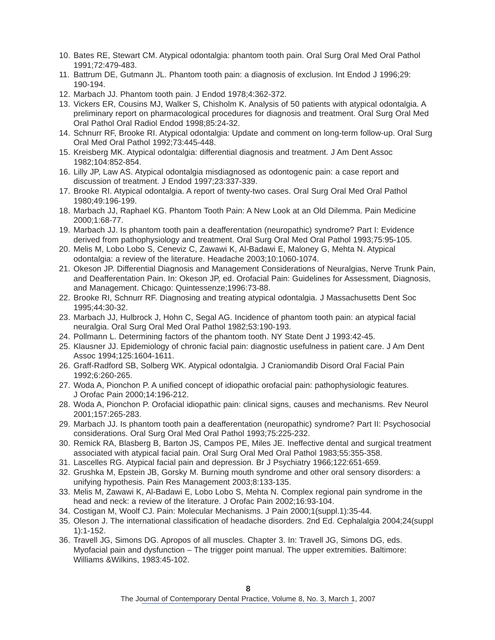- 10. Bates RE, Stewart CM. Atypical odontalgia: phantom tooth pain. Oral Surg Oral Med Oral Pathol 1991;72:479-483.
- 11. Battrum DE, Gutmann JL. Phantom tooth pain: a diagnosis of exclusion. Int Endod J 1996;29: 190-194.
- 12. Marbach JJ. Phantom tooth pain. J Endod 1978;4:362-372.
- 13. Vickers ER, Cousins MJ, Walker S, Chisholm K. Analysis of 50 patients with atypical odontalgia. A preliminary report on pharmacological procedures for diagnosis and treatment. Oral Surg Oral Med Oral Pathol Oral Radiol Endod 1998;85:24-32.
- 14. Schnurr RF, Brooke RI. Atypical odontalgia: Update and comment on long-term follow-up. Oral Surg Oral Med Oral Pathol 1992;73:445-448.
- 15. Kreisberg MK. Atypical odontalgia: differential diagnosis and treatment. J Am Dent Assoc 1982;104:852-854.
- 16. Lilly JP, Law AS. Atypical odontalgia misdiagnosed as odontogenic pain: a case report and discussion of treatment. J Endod 1997;23:337-339.
- 17. Brooke RI. Atypical odontalgia. A report of twenty-two cases. Oral Surg Oral Med Oral Pathol 1980;49:196-199.
- 18. Marbach JJ, Raphael KG. Phantom Tooth Pain: A New Look at an Old Dilemma. Pain Medicine 2000;1:68-77.
- 19. Marbach JJ. Is phantom tooth pain a deafferentation (neuropathic) syndrome? Part I: Evidence derived from pathophysiology and treatment. Oral Surg Oral Med Oral Pathol 1993;75:95-105.
- 20. Melis M, Lobo Lobo S, Ceneviz C, Zawawi K, Al-Badawi E, Maloney G, Mehta N. Atypical odontalgia: a review of the literature. Headache 2003;10:1060-1074.
- 21. Okeson JP. Differential Diagnosis and Management Considerations of Neuralgias, Nerve Trunk Pain, and Deafferentation Pain. In: Okeson JP, ed. Orofacial Pain: Guidelines for Assessment, Diagnosis, and Management. Chicago: Quintessenze;1996:73-88.
- 22. Brooke RI, Schnurr RF. Diagnosing and treating atypical odontalgia. J Massachusetts Dent Soc 1995;44:30-32.
- 23. Marbach JJ, Hulbrock J, Hohn C, Segal AG. Incidence of phantom tooth pain: an atypical facial neuralgia. Oral Surg Oral Med Oral Pathol 1982;53:190-193.
- 24. Pollmann L. Determining factors of the phantom tooth. NY State Dent J 1993:42-45.
- 25. Klausner JJ. Epidemiology of chronic facial pain: diagnostic usefulness in patient care. J Am Dent Assoc 1994;125:1604-1611.
- 26. Graff-Radford SB, Solberg WK. Atypical odontalgia. J Craniomandib Disord Oral Facial Pain 1992;6:260-265.
- 27. Woda A, Pionchon P. A unified concept of idiopathic orofacial pain: pathophysiologic features. J Orofac Pain 2000;14:196-212.
- 28. Woda A, Pionchon P. Orofacial idiopathic pain: clinical signs, causes and mechanisms. Rev Neurol 2001;157:265-283.
- 29. Marbach JJ. Is phantom tooth pain a deafferentation (neuropathic) syndrome? Part II: Psychosocial considerations. Oral Surg Oral Med Oral Pathol 1993;75:225-232.
- 30. Remick RA, Blasberg B, Barton JS, Campos PE, Miles JE. Ineffective dental and surgical treatment associated with atypical facial pain. Oral Surg Oral Med Oral Pathol 1983;55:355-358.
- 31. Lascelles RG. Atypical facial pain and depression. Br J Psychiatry 1966;122:651-659.
- 32. Grushka M, Epstein JB, Gorsky M. Burning mouth syndrome and other oral sensory disorders: a unifying hypothesis. Pain Res Management 2003;8:133-135.
- 33. Melis M, Zawawi K, Al-Badawi E, Lobo Lobo S, Mehta N. Complex regional pain syndrome in the head and neck: a review of the literature. J Orofac Pain 2002;16:93-104.
- 34. Costigan M, Woolf CJ. Pain: Molecular Mechanisms. J Pain 2000;1(suppl.1):35-44.
- 35. Oleson J. The international classification of headache disorders. 2nd Ed. Cephalalgia 2004;24(suppl 1):1-152.
- 36. Travell JG, Simons DG. Apropos of all muscles. Chapter 3. In: Travell JG, Simons DG, eds. Myofacial pain and dysfunction – The trigger point manual. The upper extremities. Baltimore: Williams &Wilkins, 1983:45-102.